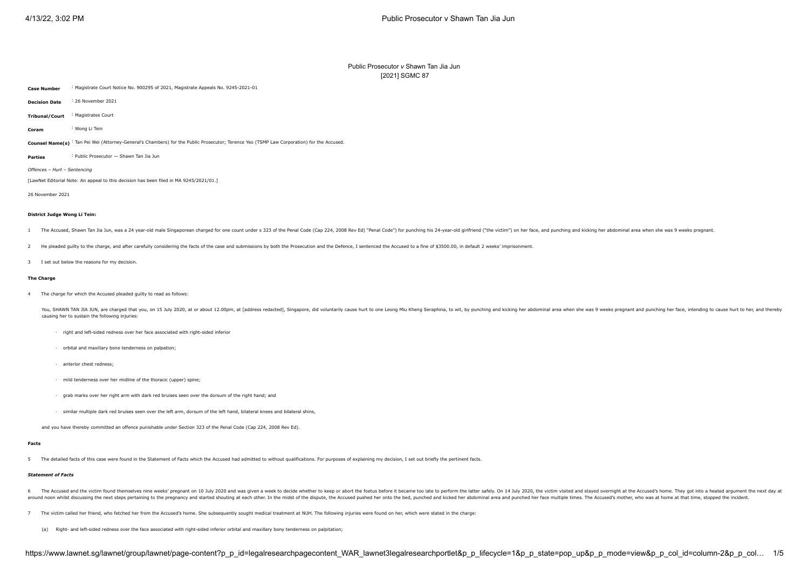# Public Prosecutor *v* Shawn Tan Jia Jun [\[2021\] SGMC 87](javascript:viewPageContent()

<span id="page-0-0"></span>**Case Number** : Magistrate Court Notice No. 900295 of 2021, Magistrate Appeals No. 9245-2021-01

**Decision Date** : 26 November 2021

**Tribunal/Court** : Magistrates Court

**Coram** : [Wong Li Tein](javascript:actionFiltering()

Counsel Name(s) : Tan Pei Wei (Attorney-General's Chambers) for the Public Prosecutor; Terence Yeo (TSMP Law Corporation) for the Accused.

**Parties** : Public Prosecutor — Shawn Tan Jia Jun

*Offences* – *Hurt* – *Sentencing*

[LawNet Editorial Note: An appeal to this decision has been filed in MA 9245/2021/01.]

26 November 2021

#### **District Judge Wong Li Tein:**

1 The Accused, Shawn Tan Jia Jun, was a 24 year-old male Singaporean charged for one count under s 323 of the Penal Code (Cap 224, 2008 Rev Ed) "Penal Code") for punching his 24-year-old girlfriend ("the victim") on her fa

2 He pleaded quilty to the charge, and after carefully considering the facts of the case and submissions by both the Prosecution and the Defence, I sentenced the Accused to a fine of \$3500.00, in default 2 weeks' imprisonm

3 I set out below the reasons for my decision.

#### **The Charge**

4 The charge for which the Accused pleaded guilty to read as follows:

You, SHAWN TAN JIA JUN, are charged that you, on 15 July 2020, at or about 12.00pm, at [address redacted], Singapore, did voluntarily cause hurt to one Leong Miu Kheng Seraphina, to wit, by punching and kicking her abdomin causing her to sustain the following injuries:

- · right and left-sided redness over her face associated with right-sided inferior
- · orbital and maxillary bone tenderness on palpation;
- · anterior chest redness;
- · mild tenderness over her midline of the thoracic (upper) spine;
- · grab marks over her right arm with dark red bruises seen over the dorsum of the right hand; and
- · similar multiple dark red bruises seen over the left arm, dorsum of the left hand, bilateral knees and bilateral shins,

and you have thereby committed an offence punishable under Section 323 of the Penal Code (Cap 224, 2008 Rev Ed).

#### **Facts**

5 The detailed facts of this case were found in the Statement of Facts which the Accused had admitted to without qualifications. For purposes of explaining my decision, I set out briefly the pertinent facts.

## *Statement of Facts*

- 6 The Accused and the victim found themselves nine weeks' pregnant on 10 July 2020 and was given a week to decide whether to keep or abort the foetus before it became too late to perform the latter safely. On 14 July 2020, around noon whilst discussing the next steps pertaining to the pregnancy and started shoutling at each other. In the midst of the dispute, the Accused pushed her onto the bed, punched and kicked her abdominal area and punc
- 7 The victim called her friend, who fetched her from the Accused's home. She subsequently sought medical treatment at NUH. The following injuries were found on her, which were stated in the charge:
	- (a) Right- and left-sided redness over the face associated with right-sided inferior orbital and maxillary bony tenderness on palpitation;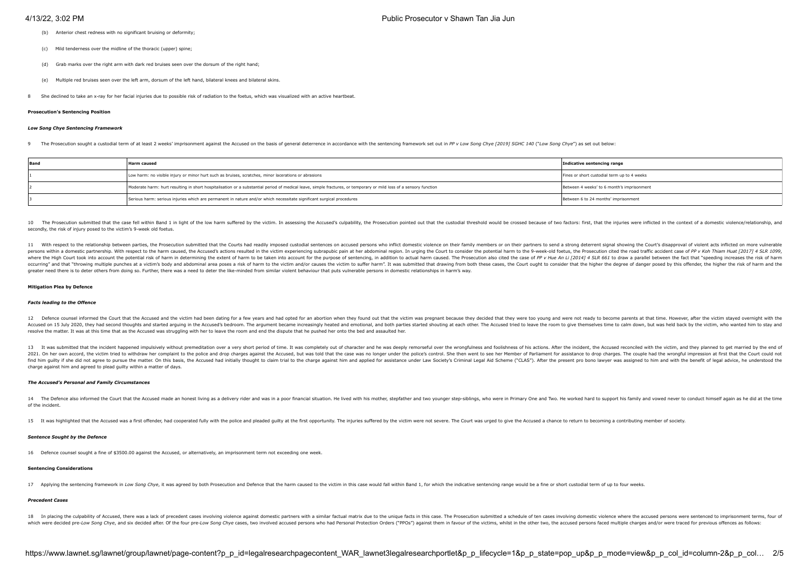- (b) Anterior chest redness with no significant bruising or deformity:
- (c) Mild tenderness over the midline of the thoracic (upper) spine;
- (d) Grab marks over the right arm with dark red bruises seen over the dorsum of the right hand;
- (e) Multiple red bruises seen over the left arm, dorsum of the left hand, bilateral knees and bilateral skins.
- 8 She declined to take an x-ray for her facial injuries due to possible risk of radiation to the foetus, which was visualized with an active heartbeat.

#### **Prosecution's Sentencing Position**

#### *Low Song Chye Sentencing Framework*

The Prosecution sought a custodial term of at least 2 weeks' imprisonment against the Accused on the basis of general deterrence in accordance with the sentencing framework set out in PP v I ow Song Chye [\[2019\] SGHC 140](javascript:viewPageContent() ("

| Band | <b>Harm caused</b>                                                                                                                                                 | Indicative sentencing range                 |
|------|--------------------------------------------------------------------------------------------------------------------------------------------------------------------|---------------------------------------------|
|      | Low harm: no visible injury or minor hurt such as bruises, scratches, minor lacerations or abrasions                                                               | Fines or short custodial term up to 4 weeks |
|      | Moderate harm: hurt resulting in short hospitalisation or a substantial period of medical leave, simple fractures, or temporary or mild loss of a sensory function | Between 4 weeks' to 6 month's imprisonment  |
|      | Serious harm: serious injuries which are permanent in nature and/or which necessitate significant surgical procedures                                              | Between 6 to 24 months' imprisonment        |

10 The Prosecution submitted that the case fell within Band 1 in light of the low harm suffered by the virtim. In assessing the Accused's culpability, the Prosecution pointed out that the custodial threshold would be cross secondly, the risk of injury posed to the victim's 9-week old foetus.

11 With respect to the relationship between parties, the Prosecution submitted that the Courts had readily imposed custodial sentences on accused persons who inflict domestic violence on their family members or on their pa persons within a domestic partnership. With respect to the harm caused, the Accused's actions resulted in the victim experiencing subrapubic pain at her abdominal region. In urging the Court to consider the potential harm where the High Court took into account the potential risk of harm in determining the extent of harm in determining the extent of harm to be taken into account for the purpose of sentencing, in addition to actual harm cause occurring" and that "throwing multiple punches at a victim's hody and abdominal area poses a risk of harm to the victim and/or causes the victim and/or causes the victim and the harm". It was submitted that drawing from bo greater need there is to deter others from doing so. Further, there was a need to deter the like-minded from similar violent behaviour that puts vulnerable persons in domestic relationships in harm's way.

### **Mitigation Plea by Defence**

#### *Facts leading to the Offence*

12 Defence counsel informed the Court that the Accused and the victim had been dating for a few years and had opted for an abortion when they found out that the victim was pregnant because they decided that the young and w Accused on 15 July 2020, they had second thoughts and started arguing in the Accused's bedroom. The argument became increasingly heated and emotional, and both parties started shouling at each other. The Accused tried to l resolve the matter. It was at this time that as the Accused was struggling with her to leave the room and end the dispute that he pushed her onto the bed and assaulted her.

13 It was submitted that the incident happened impulsively without premeditation over a very short period of time. It was completely out of character and he was deeply remorseful over the wrongfulness and foolishness of hi 2021. On her own accord, the victim tried to withdraw her complaint to the onlice and drop charges aniet the Accuse of hit was told that the excessive to phonor under the onlight control. She then went to see her Member of find him quilty if she did not agree to pursue the matter. On this basis, the Accused had initially thought to claim trial to the charge against him and applied for assistance under Law Society's Criminal Legal Aid Scheme charge against him and agreed to plead guilty within a matter of days.

#### *The Accused's Personal and Family Circumstances*

14 The Defence also informed the Court that the Accused made an honest living as a delivery rider and was in a poor financial situation. He lived with his mother, stepfather and two younger step-siblings, who were in Prima of the incident.

15. It was highlighted that the Accused was a first offender, had cooperated fully with the police and pleaded quilty at the first opportunity. The injuries suffered by the victim were not severe. The Court was urged to gi

#### *Sentence Sought by the Defence*

16 Defence counsel sought a fine of \$3500.00 against the Accused, or alternatively, an imprisonment term not exceeding one week.

#### **Sentencing Considerations**

17 Applying the sentencing framework in Low Song Chye, it was agreed by both Prosecution and Defence that the harm caused to the victim in this case would fall within Band 1, for which the indicative sentencing range would

### *Precedent Cases*

IR In placing the quipability of Acrused there was a lack of precedent cases involving violence against domestic partners with a similar factual matrix due to the unique facts in this case. The Prosecution submitted a sche which were decided pre-Low Song Chye, and six decided after. Of the four pre-Low Song Chye cases, two involved accused persons who had Personal Protection Orders ("PPOs") against them in favour of the victims, whilst in th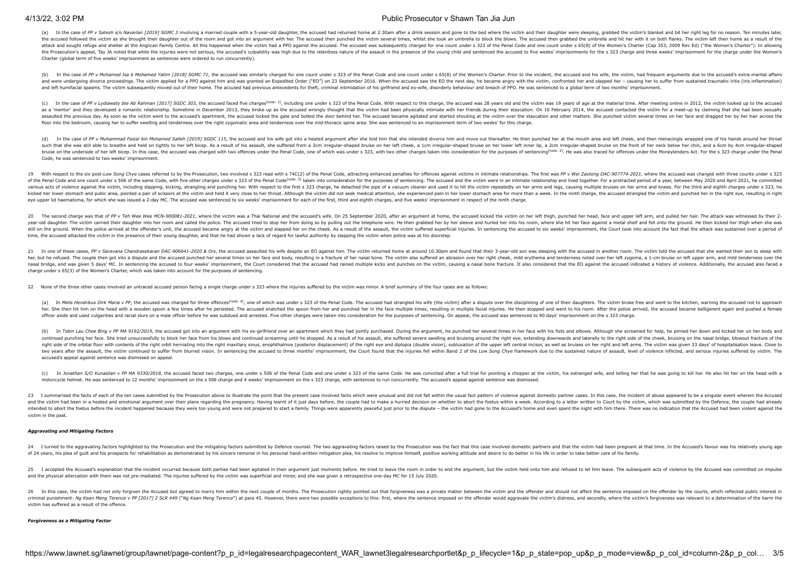# 4/13/22, 3:02 PM Public Prosecutor v Shawn Tan Jia Jun

(a) In the case of PP v Satesh s/o Navarlan (2019) SGMC 3 involving a married couple with a 5-vear-old daughter, the accused had returned home at 2.30am after a drink session and gone to the bed where the victim and their the accused followed the victim as she brought their daughter out of the room and got into an argument with her. The accused then punched the victim several times, whilst she took an umbrella to block the blows. The accuse attack and sought refuge and shelter at the Anglican Family Centre. All this happened when the victim had a PPO against the accused. The accused was subsequently charged for one count under s 323 of the Penal Code and one the Prosecution's appeal. Tay JA noted that while the injuries were not serious, the accused's culpability was high due to the relentless nature of the assault in the presence of the young child and sentenced the accused t Charter (global term of five weeks' imprisonment as sentences were ordered to run concurrently).

(b) In the case of PP v Mohamed Isa b Mohamed Yatim [\[2018\] SGMC 71](javascript:viewPageContent(), the accused was similarly charged for one count under s 323 of the Penal Code and one count under s 65(8) of the Women's Charter. Prior to the incident, t and were undergoing divorce proceedings. The victim applied for a PPO against him and was granted an Expedited Order ("EO") on 23 September 2016. When the accused saw the EO the next day, he became angry with the victim, c and left humifacial spasms. The victim subsequently moved out of their home. The accused had previous antecedents for theft, criminal intimidation of his girlfriend and ex-wife, disorderly behaviour and breach of PPO. He w

<span id="page-2-0"></span>(c) In the case of PP v Lydiawaty bte Ab Rahman [\[2017\] SGDC 303](javascript:viewPageContent(), the accused faced five charges<sup>[\[note: 1\]](#page-3-0)</sup>, including one under s 323 of the Penal Code. With respect to this charges the accused was 28 years old and the vic as a 'mentor' and they developed a romantic relationship. Sometime in December 2013, they broke up as the accused wrongly thought that the victim had been physically intimate with her friends during their staycation. On 10 assaulted the previous day. As soon as the victim went to the accused's apartment, the accused's apartment, the accused's comediocked the gate and bolted the door behind her. The accused became agitated and started shoutin floor into the bedroom, causing her to suffer swelling and tenderness over the right zygomatic area and tenderness over the mid-thoracic spine area. She was sentenced to an imprisonment term of two weeks' for this charge.

<span id="page-2-2"></span><span id="page-2-1"></span>(d) In the case of PP v Muhammad Faizal bin Mohamed Salleh [\[2019\] SGDC 115](javascript:viewPageContent(), the accused and his wife got into a heated argument after she told him that she intended divorce him and move out thereafter. He then punched her such that she was still able to breathe and held on tightly to her left bicep. As a result of his assault, she suffered from a 3cm irregular-shaped bruise on her left cheek, a 1cm irregular-shaped bruise on her lower left bruise on the underside of her left bicep. In this case, the accused was charged with two offences under the Penal Code, one of which was under s 323, with two other charges taken into consideration for the purposes of sen Code, he was sentenced to two weeks' imprisonment.

19 With respect to the six post-low Song Chye cases referred to by the Prosecution, two involved s 323 read with s 74C(2) of the Penal Code, attracting enhanced penalties for offences against victims in intimate relationsh of the Penal Code and one count under s 506 of the same Code, with five other charges under s 323 of the Penal Code<sup>[\[note: 3\]](#page-3-2)</sup> taken into consideration for the purposes of sentencing. The accused and the victim were in an various acts of violence against the victim, including slapping, kicking, strangling and punching and punching ent. With respect to the first s 323 charge, he detached the pipe of a vacuum cleaner and used it to hit the vi kicked her lower stomach and pubic area, pointed a pair of scissors at the victim and held it yery close to her throat. Although the victim and held it yery close to her throat. Although the victim did not seek medical att eye upper lid haematoma, for which she was issued a 2-day MC. The accused was sentenced to six weeks' imprisonment for each of the first, third and eighth charges, and five weeks' imprisonment in respect of the ninth charg

20 The second charge was that of PP v Teh Wee Wee MCN-900081-2021, where the victim was a Thai National and the accused's wife. On 25 September 2020, after an argument at home, the accused kicked the victim on her left thi year-old daughter. The victim carried their daughter into her room and called the police. The accused tried to stop her from doing so by pulling out the telephone wire. He then grabbed her by her sleve and hurled her into still on the ground. When the police arrived at the offender's unit, the accused became angry at the victim and slapped her on the cheek. As a result of the assault, the victim smifered superficial injuries. In sentencing time, the accused attacked the victim in the presence of their young daughter, and that he had shown a lack of regard for lawful authority by slapping the victim when police was at his doorstep.

21 In one of these cases, PP v Saravana Chandrasekaran DAC-906641-2020 & Ors, the accused assaulted his wife despite an EO against him. The victim returned home at around 10.30pm and found that their 3-year-old son was sle her, but he refused. The couple then got into a dispute and the accused punched her several times on her face and body, resulting in a fracture of her nasal bone. The victim also suffered an abrasion over her right cheek, nasal bridge, and was given 5 days' MC. In sentencing the accused to four weeks' imprisonment, the Court considered that the accused had rained multiple kicks and punches on the victim, causing a nasal bone fracture. It al charge under s 65(3) of the Women's Charter, which was taken into account for the purposes of sentencing.

22 None of the three other cases involved an untraced accused person facing a single charge under s 323 where the injuries suffered by the victim was minor. A brief summary of the four cases are as follows:

<span id="page-2-3"></span>(a) In Melis Hendrikus Dirk Maria v PP, the accused was charged for three offences<sup>[\[note: 4\]](#page-3-3)</sup>, one of which was under s 323 of the Penal Code. The accused had strangled his wife (the victim) after a dispute over the discip her. She then hit him on the head with a worden spoon a few times after he persisted. The accused spatched the spoon from her and punched her in the face multiple times, resulting in multiple facial injuries. He then stopp officer aside and used vulgarities and racial slurs on a male officer before the was subdued and arrested. Five other charges were taken into consideration for the purposes of sentencing. On appeal, the accused was sentenc

(b) In Tobin Lau Chee Bing v PP MA 9192/2019, the accused got into an argument with his ex-girlfriend over an apartment which they had jointly purchased. During the argument, he punched her several times in her face with h continued punching her face. She tried unsuccessfully to block her face from his blows and continued screaming until he stopped. As a result of his assault, she suffered severe swelling and bruising around the right eye, e right side of the orbital floor with contents of the right orbit herniating into the right maxillary sinus, enophthalmos (nosterior displacement) of the right eve and diplopia (double vision), subluxation of the upper left two years after the assault, the victim continued to suffer from blurred vision. In sentencing the accused to three months' imprisonment, the Court found that the injuries fell within Band 2 of the Low Song Chye framework accused's appeal against sentence was dismissed on appeal.

(c) In Jonathan S/O Kunasilan v PP MA 9330/2018, the accused faced two charges, one under s 506 of the Penal Code and one under s 323 of the same Code. He was convicted after a full trial for pointing a chopper at the vict motorcycle helmet. He was sentenced to 12 months' imprisonment on the s 506 charge and 4 weeks' imprisonment on the s 323 charge, with sentences to run concurrently. The accused's appeal against sentence was dismissed.

23 I summarised the facts of each of the ten cases submitted by the Prosecution above to illustrate the point that the present case involved facts which were unusual and did not fall within the usual fact mattern of violen and the victim had been in a heated and emotional argument over their plans regarding the pregnancy. Having learnt of it just days before, the couple had to make a hurried decision on whether to about the foetus within a w intended to abort the foetus before the incident happened because they were too young and were not prepared to start a family. Things were apparently peaceful just prior to the dispute - the victim had gone to the Accused' victim in the past.

#### *Aggravating and Mitigating Factors*

24 I turned to the aggravating factors highlighted by the Prosecution and the mitigating factors submitted by Defence counsel. The two aggravating factors saised by the Prosecution was the fact that this case involved dome of 24 years, his plea of quilt and his prospects for rehabilitation as demonstrated by his sincere remorse in his personal hand-written mitigation plea. his resolve to improve himself, positive working attitude and desire

25 I accepted the Accused's explanation that the incident occurred because both parties had been agitated in their arqument just moments before. He tried to leave the room in order to end the arqument, but the victim held and the physical altercation with them was not pre-mediated. The injuries suffered by the victim was superficial and minor, and she was given a retrospective one-day MC for 15 July 2020.

26 In this case, the victim had not only forgiven the Accused but agreed to marry him within the next couple of months. The Prosecution rightly pointed out that forgiveness was a private matter between the victim and the o criminal punishment: Ng Kean Meng Terence v PP [\[2017\] 2 SLR 449](javascript:viewPageContent() ("Ng Kean Meng Terence") at para 45. However, there were two possible exceptions to this: first, where the sentence imposed on the offender would aggravate th victim has suffered as a result of the offence.

#### *Forgiveness as a Mitigating Factor*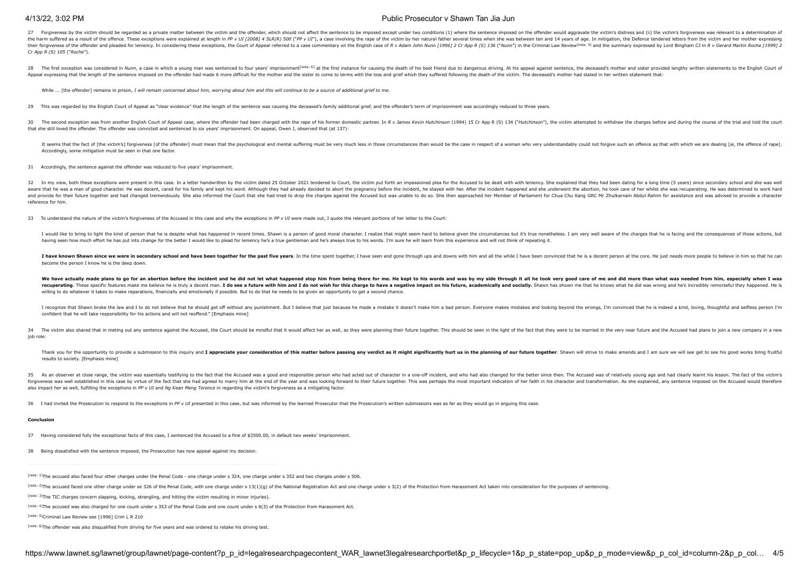# 4/13/22, 3:02 PM Public Prosecutor v Shawn Tan Jia Jun

27 Forgiveness by the victim should be regarded as a private matter between the victim and the offender, which should not affect the sentence to be imposed except under two conditions (1) where the sentence imposed on the the harm suffered as a result of the offence. These exceptions were explained at length in PP v UI [\[2008\] 4 SLR\(R\) 500](javascript:viewPageContent() ("PP v UI"), a case involving the rape of the victim by her natural father several times when she was b their forgiveness of the offender and pleaded for leniency. In considering these exceptions, the Court of Appeal referred to a case commentary on the English case of R v Adam John Nunn [1996] 2 Cr App R (S) 136 ("Nunn") in *Cr App R (S) 105* ("*Roche*").

28 The first exception was considered in Nunn, a case in which a young man was sentenced to four years' imprisonment<sup>[\[note: 6\]](#page-3-5)</sup> at the first instance for causing the death of his best friend due to dangerous driving. At hi Appeal expressing that the length of the sentence imposed on the offender had made it more difficult for the mother and the sister to come to terms with the loss and grief which they suffered following the death of the vic

<span id="page-3-7"></span><span id="page-3-6"></span>While ... [the offender] remains in prison, *I will remain concerned about him, worrying about him and this will continue to be a source of additional grief to me.* 

29 This was regarded by the English Court of Appeal as "clear evidence" that the length of the sentence was causing the deceased's family additional grief, and the offender's term of imprisonment was accordingly reduced to

30 The second exception was from another English Court of Appeal case, where the offender had been charged with the rape of his former domestic partner. In R v James Kevin Hutchinson (1994) 15 Cr App R (S) 134 ("Hutchinson that she still loved the offender. The offender was convicted and sentenced to six years' imprisonment. On appeal, Owen J, observed that (at 137):

It seems that the fact of [the victim's] forgiveness [of the offender] must mean that the psychological and mental suffering must be very much less in those circumstances than would be the case in respect of a woman who ve Accordingly, some mitigation must be seen in that one factor.

31 Accordingly, the sentence against the offender was reduced to five years' imprisonment.

32 In my view, both these exceptions were present in this case. In a letter handwritten by the victim dated 25 October 2021 tendered to Court, the victim put forth an impassioned plea for the Accused to be dealt with with aware that he was a man of good character. He was decent, cared for his family and kent his word. Although they had already decided to about the pregnancy before the incident, he stayed with her. After the incident happene and provide for their future together and had changed tremendously. She also informed the Court that she had tried to drop the charges against the Accused but was unable to do so. She then approached her Member of Parliame reference for him.

33 To understand the nature of the victim's forgiveness of the Accused in this case and why the exceptions in *PP v UI* were made out, I quote the relevant portions of her letter to the Court:

I would like to bring to light the kind of person that he is despite what has happened in recent times. Shawn is a person of good moral character. I realize that might seem hard to believe given the circumstances but it's having seen how much effort he has put into change for the better I would like to plead for leniency he's a true gentleman and he's always true to his words. I'm sure he will learn from this experience and will not think o

I have known Shawn since we were in secondary school and have been together for the nast five years. In the time coart to dober City the street in the street in the controller is a second and controller is have seen and co become the person I know he is the deep down.

We have actually made plans to go for an abortion before the incident and he did not let what happened stop him from being there for me. He kept to his words and was by my side through it all he took very good care of me a recuperating. These specific features make me believe he is truly a decent man. I do see a future with him and I do not wish for this charge to have a negative impact on his future. academically and socially. Shawn has sho willing to do whatever it takes to make reparations, financially and emotionally if possible. But to do that he needs to be given an opportunity to get a second chance.

I recognize that Shawn broke the law and I to do not believe that he should get off without any punishment. But I believe that just because he made a mistake it doesn't make him a bad person. Everyone makes mistakes and lo confident that he will take responsibility for his actions and will not reoffend." [Emphasis mine]

34 The victim also shared that in meting out any sentence against the Accused, the Court should be mindful that it would affect her as well, as they were planning their future together. This should be seen in the light of job role:

Thank you for the opportunity to provide a submission to this inquiry and I appreciate your consideration of this matter before passing any verdict as it might significantly hurt us in the planning of our future together. results to society. [Emphasis mine]

35 As an observer at close range, the victim was essentially testifying to the fact that the Accused was a good and responsible person who had acted out of character in a one-off incident, and who had also changed for the forgiveness was well established in this case by virtue of the fact that she had agreed to marry him at the end of the year and was looking forward to their future together. This was perhaps the most important indication o also impact her as well, fulfilling the exceptions in *PP v UI* and *Ng Kean Meng Terence* in regarding the victim's forgiveness as a mitigating factor.

36 I had invited the Procedution to reconnot to the expentions in PP y III precented in this case but was informed by the learned Procedutor that the Procedution's written submissions was as far as they would go in arquire

#### **Conclusion**

- 37 Having considered fully the exceptional facts of this case, I sentenced the Accused to a fine of \$3500.00, in default two weeks' imprisonment.
- 38 Being dissatisfied with the sentence imposed, the Prosecution has now appeal against my decision.
- <span id="page-3-0"></span>[\[note: 1\]](#page-2-0)The accused also faced four other charges under the Penal Code - one charge under s 324, one charge under s 352 and two charges under s 506.
- <span id="page-3-1"></span>[\[note: 2\]](#page-2-1)The accused faced one other charge under se 326 of the Penal Code, with one charge under s 13(1)(g) of the National Registration Act and one charge under s 3(2) of the Protection from Harassment Act taken into con

<span id="page-3-3"></span>[\[note: 4\]](#page-2-3)The accused was also charged for one count under s 353 of the Penal Code and one count under s 6(3) of the Protection from Harassment Act.

<span id="page-3-4"></span>[\[note: 5\]](#page-3-6)Criminal Law Review see [1996] Crim L R 210

<span id="page-3-5"></span>[\[note: 6\]](#page-3-7)The offender was also disqualified from driving for five years and was ordered to retake his driving test.

<span id="page-3-2"></span>[<sup>\[</sup>note: 3\]](#page-2-2)The TIC charges concern slapping, kicking, strangling, and hitting the victim resulting in minor injuries).